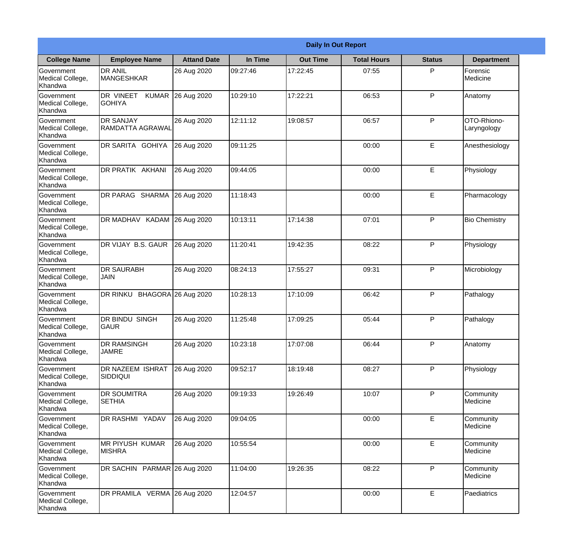|                                           |                                             |                     |          | <b>Daily In Out Report</b> |                    |               |                            |
|-------------------------------------------|---------------------------------------------|---------------------|----------|----------------------------|--------------------|---------------|----------------------------|
| <b>College Name</b>                       | <b>Employee Name</b>                        | <b>Attand Date</b>  | In Time  | <b>Out Time</b>            | <b>Total Hours</b> | <b>Status</b> | <b>Department</b>          |
| Government<br>Medical College,<br>Khandwa | <b>DR ANIL</b><br>MANGESHKAR                | 26 Aug 2020         | 09:27:46 | 17:22:45                   | 07:55              | P             | Forensic<br>Medicine       |
| Government<br>Medical College,<br>Khandwa | DR VINEET<br><b>KUMAR</b><br><b>GOHIYA</b>  | 26 Aug 2020         | 10:29:10 | 17:22:21                   | 06:53              | P             | Anatomy                    |
| Government<br>Medical College,<br>Khandwa | <b>DR SANJAY</b><br><b>RAMDATTA AGRAWAL</b> | 26 Aug 2020         | 12:11:12 | 19:08:57                   | 06:57              | P             | OTO-Rhiono-<br>Laryngology |
| Government<br>Medical College,<br>Khandwa | DR SARITA GOHIYA                            | 26 Aug 2020         | 09:11:25 |                            | 00:00              | E             | Anesthesiology             |
| Government<br>Medical College,<br>Khandwa | DR PRATIK AKHANI                            | 26 Aug 2020         | 09:44:05 |                            | 00:00              | E             | Physiology                 |
| Government<br>Medical College,<br>Khandwa | DR PARAG SHARMA                             | 26 Aug 2020         | 11:18:43 |                            | 00:00              | E             | Pharmacology               |
| Government<br>Medical College,<br>Khandwa | DR MADHAV KADAM 26 Aug 2020                 |                     | 10:13:11 | 17:14:38                   | 07:01              | P             | <b>Bio Chemistry</b>       |
| Government<br>Medical College,<br>Khandwa | DR VIJAY B.S. GAUR                          | 26 Aug 2020         | 11:20:41 | 19:42:35                   | 08:22              | P             | Physiology                 |
| Government<br>Medical College,<br>Khandwa | <b>DR SAURABH</b><br><b>JAIN</b>            | 26 Aug 2020         | 08:24:13 | 17:55:27                   | 09:31              | P             | Microbiology               |
| Government<br>Medical College,<br>Khandwa | DR RINKU                                    | BHAGORA 26 Aug 2020 | 10:28:13 | 17:10:09                   | 06:42              | P             | Pathalogy                  |
| Government<br>Medical College,<br>Khandwa | DR BINDU SINGH<br><b>GAUR</b>               | 26 Aug 2020         | 11:25:48 | 17:09:25                   | 05:44              | $\mathsf{P}$  | Pathalogy                  |
| Government<br>Medical College,<br>Khandwa | DR RAMSINGH<br><b>JAMRE</b>                 | 26 Aug 2020         | 10:23:18 | 17:07:08                   | 06:44              | P             | Anatomy                    |
| Government<br>Medical College,<br>Khandwa | DR NAZEEM ISHRAT<br><b>SIDDIQUI</b>         | 26 Aug 2020         | 09:52:17 | 18:19:48                   | 08:27              | P             | Physiology                 |
| Government<br>Medical College,<br>Khandwa | DR SOUMITRA<br><b>SETHIA</b>                | 26 Aug 2020         | 09:19:33 | 19:26:49                   | 10:07              | $\mathsf{P}$  | Community<br>Medicine      |
| Government<br>Medical College,<br>Khandwa | DR RASHMI YADAV                             | 26 Aug 2020         | 09:04:05 |                            | 00:00              | E             | Community<br>Medicine      |
| Government<br>Medical College,<br>Khandwa | MR PIYUSH KUMAR<br><b>MISHRA</b>            | 26 Aug 2020         | 10:55:54 |                            | 00:00              | E             | Community<br>Medicine      |
| Government<br>Medical College,<br>Khandwa | DR SACHIN PARMAR 26 Aug 2020                |                     | 11:04:00 | 19:26:35                   | 08:22              | P             | Community<br>Medicine      |
| Government<br>Medical College,<br>Khandwa | DR PRAMILA VERMA 26 Aug 2020                |                     | 12:04:57 |                            | 00:00              | E             | Paediatrics                |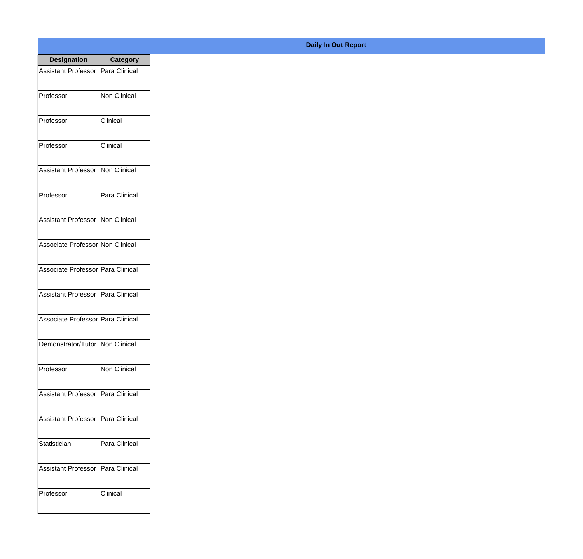| <b>Designation</b>                  | <b>Category</b>     |
|-------------------------------------|---------------------|
| Assistant Professor   Para Clinical |                     |
| Professor                           | <b>Non Clinical</b> |
| Professor                           | Clinical            |
| Professor                           | Clinical            |
| <b>Assistant Professor</b>          | Non Clinical        |
| Professor                           | Para Clinical       |
| Assistant Professor   Non Clinical  |                     |
| Associate Professor Non Clinical    |                     |
| Associate Professor   Para Clinical |                     |
| <b>Assistant Professor</b>          | Para Clinical       |
| Associate Professor Para Clinical   |                     |
| Demonstrator/Tutor   Non Clinical   |                     |
| Professor                           | <b>Non Clinical</b> |
| <b>Assistant Professor</b>          | Para Clinical       |
| <b>Assistant Professor</b>          | Para Clinical       |
| Statistician                        | Para Clinical       |
| <b>Assistant Professor</b>          | Para Clinical       |
| Professor                           | Clinical            |

## **Daily In Out Report**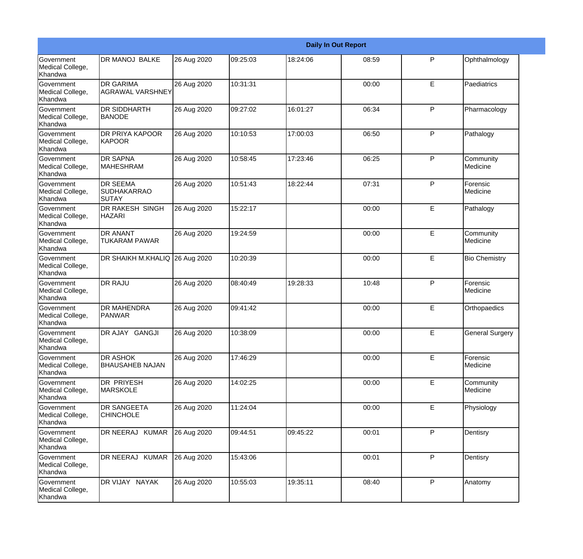|                                           |                                             |             |          |          | <b>Daily In Out Report</b> |   |                             |
|-------------------------------------------|---------------------------------------------|-------------|----------|----------|----------------------------|---|-----------------------------|
| Government<br>Medical College,<br>Khandwa | <b>DR MANOJ BALKE</b>                       | 26 Aug 2020 | 09:25:03 | 18:24:06 | 08:59                      | P | Ophthalmology               |
| Government<br>Medical College,<br>Khandwa | <b>DR GARIMA</b><br><b>AGRAWAL VARSHNEY</b> | 26 Aug 2020 | 10:31:31 |          | 00:00                      | E | Paediatrics                 |
| Government<br>Medical College,<br>Khandwa | <b>DR SIDDHARTH</b><br><b>BANODE</b>        | 26 Aug 2020 | 09:27:02 | 16:01:27 | 06:34                      | P | Pharmacology                |
| Government<br>Medical College,<br>Khandwa | <b>DR PRIYA KAPOOR</b><br>KAPOOR            | 26 Aug 2020 | 10:10:53 | 17:00:03 | 06:50                      | P | Pathalogy                   |
| Government<br>Medical College,<br>Khandwa | <b>DR SAPNA</b><br><b>MAHESHRAM</b>         | 26 Aug 2020 | 10:58:45 | 17:23:46 | 06:25                      | P | Community<br>Medicine       |
| Government<br>Medical College,<br>Khandwa | <b>DR SEEMA</b><br>SUDHAKARRAO<br>ISUTAY    | 26 Aug 2020 | 10:51:43 | 18:22:44 | 07:31                      | P | Forensic<br><b>Medicine</b> |
| Government<br>Medical College,<br>Khandwa | DR RAKESH SINGH<br><b>HAZARI</b>            | 26 Aug 2020 | 15:22:17 |          | 00:00                      | E | Pathalogy                   |
| Government<br>Medical College,<br>Khandwa | <b>DR ANANT</b><br><b>TUKARAM PAWAR</b>     | 26 Aug 2020 | 19:24:59 |          | 00:00                      | E | Community<br>Medicine       |
| Government<br>Medical College,<br>Khandwa | DR SHAIKH M.KHALIQ 26 Aug 2020              |             | 10:20:39 |          | 00:00                      | E | <b>Bio Chemistry</b>        |
| Government<br>Medical College,<br>Khandwa | <b>DR RAJU</b>                              | 26 Aug 2020 | 08:40:49 | 19:28:33 | 10:48                      | P | Forensic<br>Medicine        |
| Government<br>Medical College,<br>Khandwa | <b>DR MAHENDRA</b><br><b>PANWAR</b>         | 26 Aug 2020 | 09:41:42 |          | 00:00                      | E | Orthopaedics                |
| Government<br>Medical College,<br>Khandwa | DR AJAY GANGJI                              | 26 Aug 2020 | 10:38:09 |          | 00:00                      | E | <b>General Surgery</b>      |
| Government<br>Medical College,<br>Khandwa | <b>DR ASHOK</b><br><b>BHAUSAHEB NAJAN</b>   | 26 Aug 2020 | 17:46:29 |          | 00:00                      | E | Forensic<br>Medicine        |
| Government<br>Medical College,<br>Khandwa | <b>DR PRIYESH</b><br>MARSKOLE               | 26 Aug 2020 | 14:02:25 |          | 00:00                      | E | Community<br>Medicine       |
| Government<br>Medical College,<br>Khandwa | <b>DR SANGEETA</b><br><b>CHINCHOLE</b>      | 26 Aug 2020 | 11:24:04 |          | 00:00                      | E | Physiology                  |
| Government<br>Medical College,<br>Khandwa | DR NEERAJ KUMAR                             | 26 Aug 2020 | 09:44:51 | 09:45:22 | 00:01                      | P | Dentisry                    |
| Government<br>Medical College,<br>Khandwa | DR NEERAJ KUMAR                             | 26 Aug 2020 | 15:43:06 |          | 00:01                      | P | Dentisry                    |
| Government<br>Medical College,<br>Khandwa | DR VIJAY NAYAK                              | 26 Aug 2020 | 10:55:03 | 19:35:11 | 08:40                      | P | Anatomy                     |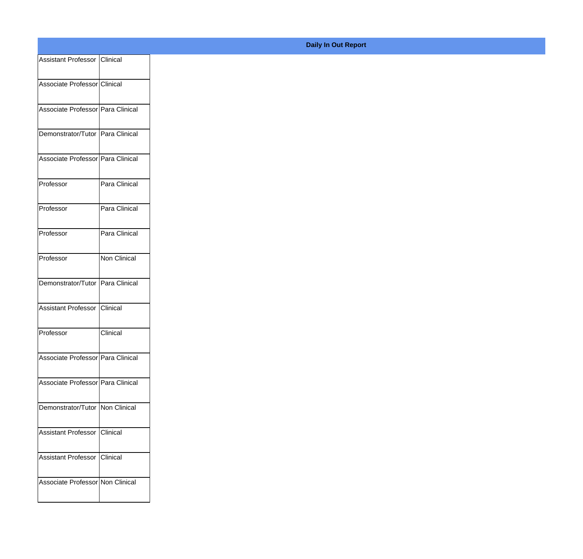| Assistant Professor Clinical      |               |
|-----------------------------------|---------------|
|                                   |               |
| Associate Professor Clinical      |               |
| Associate Professor Para Clinical |               |
|                                   |               |
| Demonstrator/Tutor Para Clinical  |               |
| Associate Professor Para Clinical |               |
|                                   |               |
| Professor                         | Para Clinical |
|                                   |               |
| Professor                         | Para Clinical |
| Professor                         | Para Clinical |
|                                   |               |
| Professor                         | Non Clinical  |
| Demonstrator/Tutor Para Clinical  |               |
|                                   |               |
| Assistant Professor Clinical      |               |
| Professor                         | Clinical      |
|                                   |               |
| Associate Professor Para Clinical |               |
| Associate Professor Para Clinical |               |
|                                   |               |
| Demonstrator/Tutor Non Clinical   |               |
|                                   |               |
| Assistant Professor Clinical      |               |
| Assistant Professor Clinical      |               |
|                                   |               |
| Associate Professor Non Clinical  |               |
|                                   |               |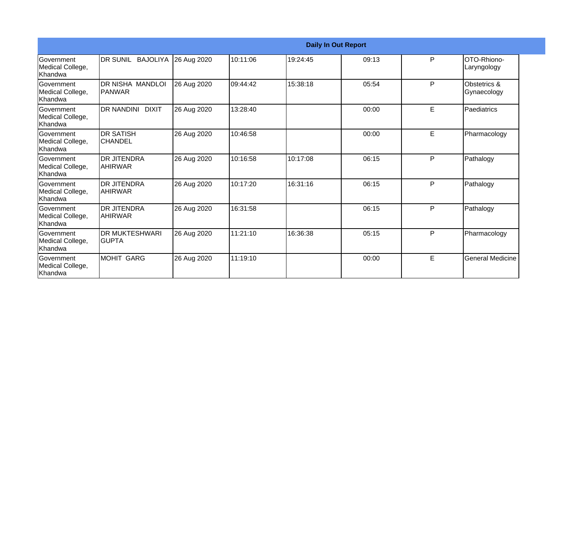|                                                  |                                        |             |          |          | <b>Daily In Out Report</b> |   |                             |
|--------------------------------------------------|----------------------------------------|-------------|----------|----------|----------------------------|---|-----------------------------|
| Government<br>Medical College,<br>Khandwa        | DR SUNIL BAJOLIYA 26 Aug 2020          |             | 10:11:06 | 19:24:45 | 09:13                      | P | OTO-Rhiono-<br>Laryngology  |
| <b>Government</b><br>Medical College,<br>Khandwa | DR NISHA MANDLOI<br>IPANWAR            | 26 Aug 2020 | 09:44:42 | 15:38:18 | 05:54                      | P | Obstetrics &<br>Gynaecology |
| <b>Government</b><br>Medical College,<br>Khandwa | <b>DR NANDINI DIXIT</b>                | 26 Aug 2020 | 13:28:40 |          | 00:00                      | E | Paediatrics                 |
| Government<br>Medical College,<br>Khandwa        | <b>DR SATISH</b><br><b>CHANDEL</b>     | 26 Aug 2020 | 10:46:58 |          | 00:00                      | E | Pharmacology                |
| <b>Government</b><br>Medical College,<br>Khandwa | IDR JITENDRA<br><b>AHIRWAR</b>         | 26 Aug 2020 | 10:16:58 | 10:17:08 | 06:15                      | P | Pathalogy                   |
| Government<br>Medical College,<br>Khandwa        | <b>DR JITENDRA</b><br><b>AHIRWAR</b>   | 26 Aug 2020 | 10:17:20 | 16:31:16 | 06:15                      | P | Pathalogy                   |
| <b>Government</b><br>Medical College,<br>Khandwa | <b>DR JITENDRA</b><br>IAHIRWAR         | 26 Aug 2020 | 16:31:58 |          | 06:15                      | P | Pathalogy                   |
| Government<br>Medical College,<br>Khandwa        | <b>DR MUKTESHWARI</b><br><b>IGUPTA</b> | 26 Aug 2020 | 11:21:10 | 16:36:38 | 05:15                      | P | Pharmacology                |
| Government<br>Medical College,<br>Khandwa        | <b>IMOHIT GARG</b>                     | 26 Aug 2020 | 11:19:10 |          | 00:00                      | E | <b>General Medicine</b>     |